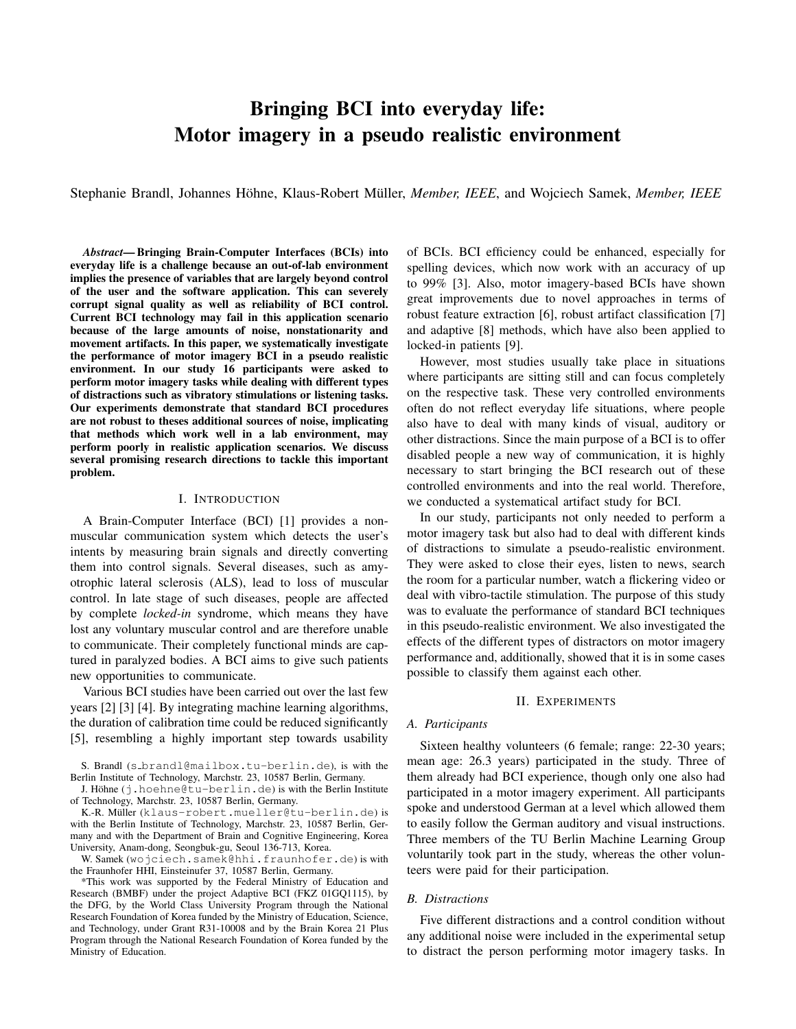# Bringing BCI into everyday life: Motor imagery in a pseudo realistic environment

Stephanie Brandl, Johannes Höhne, Klaus-Robert Müller, Member, IEEE, and Wojciech Samek, Member, IEEE

*Abstract*— Bringing Brain-Computer Interfaces (BCIs) into everyday life is a challenge because an out-of-lab environment implies the presence of variables that are largely beyond control of the user and the software application. This can severely corrupt signal quality as well as reliability of BCI control. Current BCI technology may fail in this application scenario because of the large amounts of noise, nonstationarity and movement artifacts. In this paper, we systematically investigate the performance of motor imagery BCI in a pseudo realistic environment. In our study 16 participants were asked to perform motor imagery tasks while dealing with different types of distractions such as vibratory stimulations or listening tasks. Our experiments demonstrate that standard BCI procedures are not robust to theses additional sources of noise, implicating that methods which work well in a lab environment, may perform poorly in realistic application scenarios. We discuss several promising research directions to tackle this important problem.

#### I. INTRODUCTION

A Brain-Computer Interface (BCI) [1] provides a nonmuscular communication system which detects the user's intents by measuring brain signals and directly converting them into control signals. Several diseases, such as amyotrophic lateral sclerosis (ALS), lead to loss of muscular control. In late stage of such diseases, people are affected by complete *locked-in* syndrome, which means they have lost any voluntary muscular control and are therefore unable to communicate. Their completely functional minds are captured in paralyzed bodies. A BCI aims to give such patients new opportunities to communicate.

Various BCI studies have been carried out over the last few years [2] [3] [4]. By integrating machine learning algorithms, the duration of calibration time could be reduced significantly [5], resembling a highly important step towards usability

S. Brandl (s brandl@mailbox.tu-berlin.de), is with the Berlin Institute of Technology, Marchstr. 23, 10587 Berlin, Germany.

J. Höhne (j.hoehne@tu-berlin.de) is with the Berlin Institute of Technology, Marchstr. 23, 10587 Berlin, Germany.

K.-R. Müller (klaus-robert.mueller@tu-berlin.de) is with the Berlin Institute of Technology, Marchstr. 23, 10587 Berlin, Germany and with the Department of Brain and Cognitive Engineering, Korea University, Anam-dong, Seongbuk-gu, Seoul 136-713, Korea.

W. Samek (wojciech.samek@hhi.fraunhofer.de) is with the Fraunhofer HHI, Einsteinufer 37, 10587 Berlin, Germany.

\*This work was supported by the Federal Ministry of Education and Research (BMBF) under the project Adaptive BCI (FKZ 01GQ1115), by the DFG, by the World Class University Program through the National Research Foundation of Korea funded by the Ministry of Education, Science, and Technology, under Grant R31-10008 and by the Brain Korea 21 Plus Program through the National Research Foundation of Korea funded by the Ministry of Education.

of BCIs. BCI efficiency could be enhanced, especially for spelling devices, which now work with an accuracy of up to 99% [3]. Also, motor imagery-based BCIs have shown great improvements due to novel approaches in terms of robust feature extraction [6], robust artifact classification [7] and adaptive [8] methods, which have also been applied to locked-in patients [9].

However, most studies usually take place in situations where participants are sitting still and can focus completely on the respective task. These very controlled environments often do not reflect everyday life situations, where people also have to deal with many kinds of visual, auditory or other distractions. Since the main purpose of a BCI is to offer disabled people a new way of communication, it is highly necessary to start bringing the BCI research out of these controlled environments and into the real world. Therefore, we conducted a systematical artifact study for BCI.

In our study, participants not only needed to perform a motor imagery task but also had to deal with different kinds of distractions to simulate a pseudo-realistic environment. They were asked to close their eyes, listen to news, search the room for a particular number, watch a flickering video or deal with vibro-tactile stimulation. The purpose of this study was to evaluate the performance of standard BCI techniques in this pseudo-realistic environment. We also investigated the effects of the different types of distractors on motor imagery performance and, additionally, showed that it is in some cases possible to classify them against each other.

### II. EXPERIMENTS

### *A. Participants*

Sixteen healthy volunteers (6 female; range: 22-30 years; mean age: 26.3 years) participated in the study. Three of them already had BCI experience, though only one also had participated in a motor imagery experiment. All participants spoke and understood German at a level which allowed them to easily follow the German auditory and visual instructions. Three members of the TU Berlin Machine Learning Group voluntarily took part in the study, whereas the other volunteers were paid for their participation.

# *B. Distractions*

Five different distractions and a control condition without any additional noise were included in the experimental setup to distract the person performing motor imagery tasks. In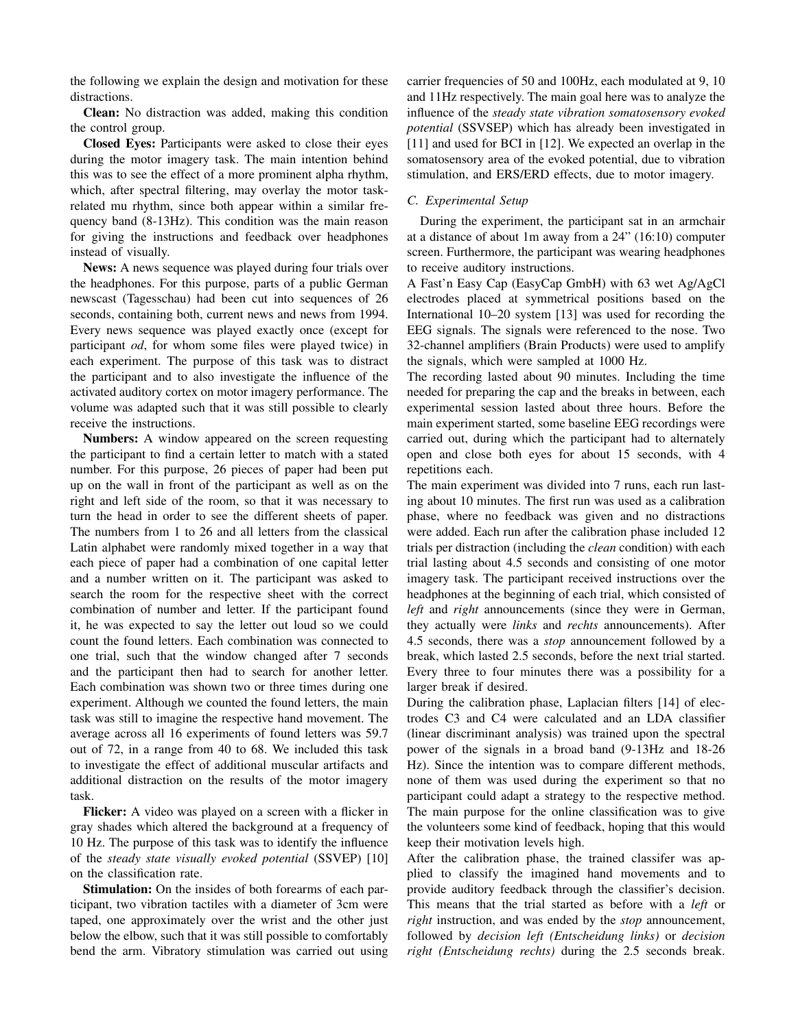the following we explain the design and motivation for these distractions.

Clean: No distraction was added, making this condition the control group.

Closed Eyes: Participants were asked to close their eyes during the motor imagery task. The main intention behind this was to see the effect of a more prominent alpha rhythm, which, after spectral filtering, may overlay the motor taskrelated mu rhythm, since both appear within a similar frequency band (8-13Hz). This condition was the main reason for giving the instructions and feedback over headphones instead of visually.

News: A news sequence was played during four trials over the headphones. For this purpose, parts of a public German newscast (Tagesschau) had been cut into sequences of 26 seconds, containing both, current news and news from 1994. Every news sequence was played exactly once (except for participant *od*, for whom some files were played twice) in each experiment. The purpose of this task was to distract the participant and to also investigate the influence of the activated auditory cortex on motor imagery performance. The volume was adapted such that it was still possible to clearly receive the instructions.

Numbers: A window appeared on the screen requesting the participant to find a certain letter to match with a stated number. For this purpose, 26 pieces of paper had been put up on the wall in front of the participant as well as on the right and left side of the room, so that it was necessary to turn the head in order to see the different sheets of paper. The numbers from 1 to 26 and all letters from the classical Latin alphabet were randomly mixed together in a way that each piece of paper had a combination of one capital letter and a number written on it. The participant was asked to search the room for the respective sheet with the correct combination of number and letter. If the participant found it, he was expected to say the letter out loud so we could count the found letters. Each combination was connected to one trial, such that the window changed after 7 seconds and the participant then had to search for another letter. Each combination was shown two or three times during one experiment. Although we counted the found letters, the main task was still to imagine the respective hand movement. The average across all 16 experiments of found letters was 59.7 out of 72, in a range from 40 to 68. We included this task to investigate the effect of additional muscular artifacts and additional distraction on the results of the motor imagery task.

Flicker: A video was played on a screen with a flicker in gray shades which altered the background at a frequency of 10 Hz. The purpose of this task was to identify the influence of the *steady state visually evoked potential* (SSVEP) [10] on the classification rate.

Stimulation: On the insides of both forearms of each participant, two vibration tactiles with a diameter of 3cm were taped, one approximately over the wrist and the other just below the elbow, such that it was still possible to comfortably bend the arm. Vibratory stimulation was carried out using carrier frequencies of 50 and 100Hz, each modulated at 9, 10 and 11Hz respectively. The main goal here was to analyze the influence of the *steady state vibration somatosensory evoked potential* (SSVSEP) which has already been investigated in [11] and used for BCI in [12]. We expected an overlap in the somatosensory area of the evoked potential, due to vibration stimulation, and ERS/ERD effects, due to motor imagery.

# *C. Experimental Setup*

During the experiment, the participant sat in an armchair at a distance of about 1m away from a 24" (16:10) computer screen. Furthermore, the participant was wearing headphones to receive auditory instructions.

A Fast'n Easy Cap (EasyCap GmbH) with 63 wet Ag/AgCl electrodes placed at symmetrical positions based on the International 10–20 system [13] was used for recording the EEG signals. The signals were referenced to the nose. Two 32-channel amplifiers (Brain Products) were used to amplify the signals, which were sampled at 1000 Hz.

The recording lasted about 90 minutes. Including the time needed for preparing the cap and the breaks in between, each experimental session lasted about three hours. Before the main experiment started, some baseline EEG recordings were carried out, during which the participant had to alternately open and close both eyes for about 15 seconds, with 4 repetitions each.

The main experiment was divided into 7 runs, each run lasting about 10 minutes. The first run was used as a calibration phase, where no feedback was given and no distractions were added. Each run after the calibration phase included 12 trials per distraction (including the *clean* condition) with each trial lasting about 4.5 seconds and consisting of one motor imagery task. The participant received instructions over the headphones at the beginning of each trial, which consisted of *left* and *right* announcements (since they were in German, they actually were *links* and *rechts* announcements). After 4.5 seconds, there was a *stop* announcement followed by a break, which lasted 2.5 seconds, before the next trial started. Every three to four minutes there was a possibility for a larger break if desired.

During the calibration phase, Laplacian filters [14] of electrodes C3 and C4 were calculated and an LDA classifier (linear discriminant analysis) was trained upon the spectral power of the signals in a broad band (9-13Hz and 18-26 Hz). Since the intention was to compare different methods, none of them was used during the experiment so that no participant could adapt a strategy to the respective method. The main purpose for the online classification was to give the volunteers some kind of feedback, hoping that this would keep their motivation levels high.

After the calibration phase, the trained classifer was applied to classify the imagined hand movements and to provide auditory feedback through the classifier's decision. This means that the trial started as before with a *left* or *right* instruction, and was ended by the *stop* announcement, followed by *decision left (Entscheidung links)* or *decision right (Entscheidung rechts)* during the 2.5 seconds break.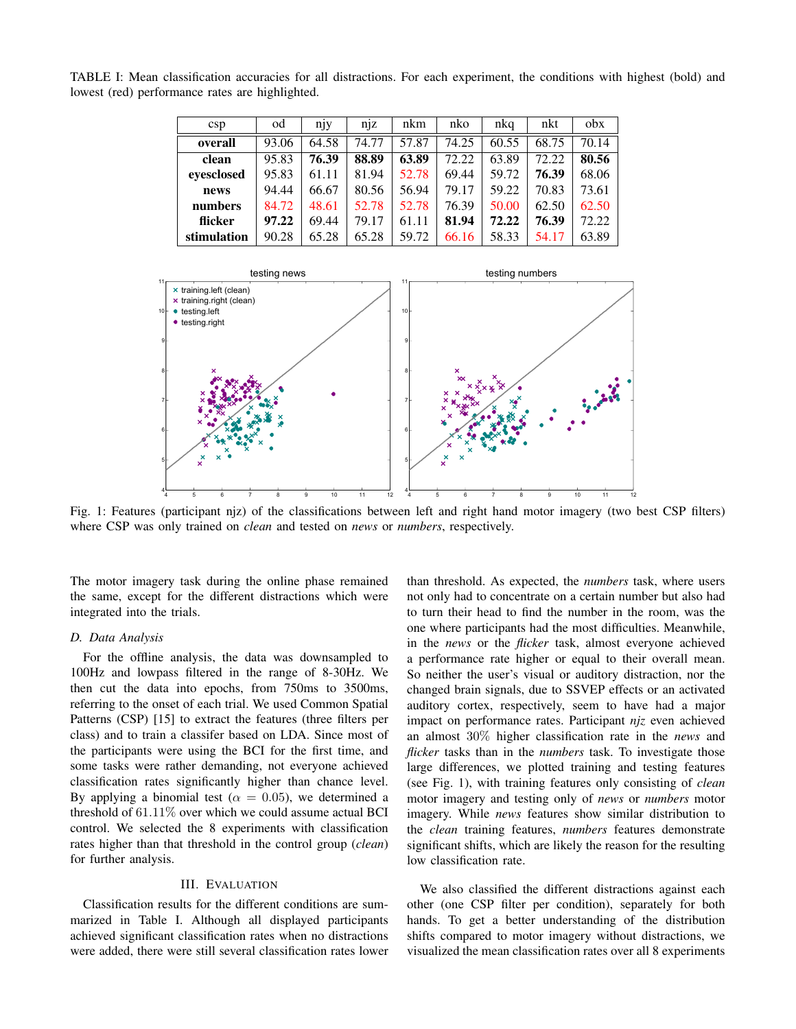<span id="page-2-0"></span>TABLE I: Mean classification accuracies for all distractions. For each experiment, the conditions with highest (bold) and lowest (red) performance rates are highlighted.

| c <sub>sp</sub> | od    | njy   | n <sub>1</sub> z | nkm   | nko   | nkq   | nkt   | $_{\rm obs}$ |
|-----------------|-------|-------|------------------|-------|-------|-------|-------|--------------|
| overall         | 93.06 | 64.58 | 74.77            | 57.87 | 74.25 | 60.55 | 68.75 | 70.14        |
| clean           | 95.83 | 76.39 | 88.89            | 63.89 | 72.22 | 63.89 | 72.22 | 80.56        |
| eyesclosed      | 95.83 | 61.11 | 81.94            | 52.78 | 69.44 | 59.72 | 76.39 | 68.06        |
| news            | 94.44 | 66.67 | 80.56            | 56.94 | 79.17 | 59.22 | 70.83 | 73.61        |
| numbers         | 84.72 | 48.61 | 52.78            | 52.78 | 76.39 | 50.00 | 62.50 | 62.50        |
| flicker         | 97.22 | 69.44 | 79.17            | 61.11 | 81.94 | 72.22 | 76.39 | 72.22        |
| stimulation     | 90.28 | 65.28 | 65.28            | 59.72 | 66.16 | 58.33 | 54.17 | 63.89        |

<span id="page-2-1"></span>

Fig. 1: Features (participant njz) of the classifications between left and right hand motor imagery (two best CSP filters) where CSP was only trained on *clean* and tested on *news* or *numbers*, respectively.

The motor imagery task during the online phase remained the same, except for the different distractions which were integrated into the trials.

## *D. Data Analysis*

For the offline analysis, the data was downsampled to 100Hz and lowpass filtered in the range of 8-30Hz. We then cut the data into epochs, from 750ms to 3500ms, referring to the onset of each trial. We used Common Spatial Patterns (CSP) [15] to extract the features (three filters per class) and to train a classifer based on LDA. Since most of the participants were using the BCI for the first time, and some tasks were rather demanding, not everyone achieved classification rates significantly higher than chance level. By applying a binomial test ( $\alpha = 0.05$ ), we determined a threshold of  $61.11\%$  over which we could assume actual BCI control. We selected the 8 experiments with classification rates higher than that threshold in the control group (*clean*) for further analysis.

# III. EVALUATION

Classification results for the different conditions are summarized in Table [I.](#page-2-0) Although all displayed participants achieved significant classification rates when no distractions were added, there were still several classification rates lower than threshold. As expected, the *numbers* task, where users not only had to concentrate on a certain number but also had to turn their head to find the number in the room, was the one where participants had the most difficulties. Meanwhile, in the *news* or the *flicker* task, almost everyone achieved a performance rate higher or equal to their overall mean. So neither the user's visual or auditory distraction, nor the changed brain signals, due to SSVEP effects or an activated auditory cortex, respectively, seem to have had a major impact on performance rates. Participant *njz* even achieved an almost 30% higher classification rate in the *news* and *flicker* tasks than in the *numbers* task. To investigate those large differences, we plotted training and testing features (see Fig. [1\)](#page-2-1), with training features only consisting of *clean* motor imagery and testing only of *news* or *numbers* motor imagery. While *news* features show similar distribution to the *clean* training features, *numbers* features demonstrate significant shifts, which are likely the reason for the resulting low classification rate.

We also classified the different distractions against each other (one CSP filter per condition), separately for both hands. To get a better understanding of the distribution shifts compared to motor imagery without distractions, we visualized the mean classification rates over all 8 experiments